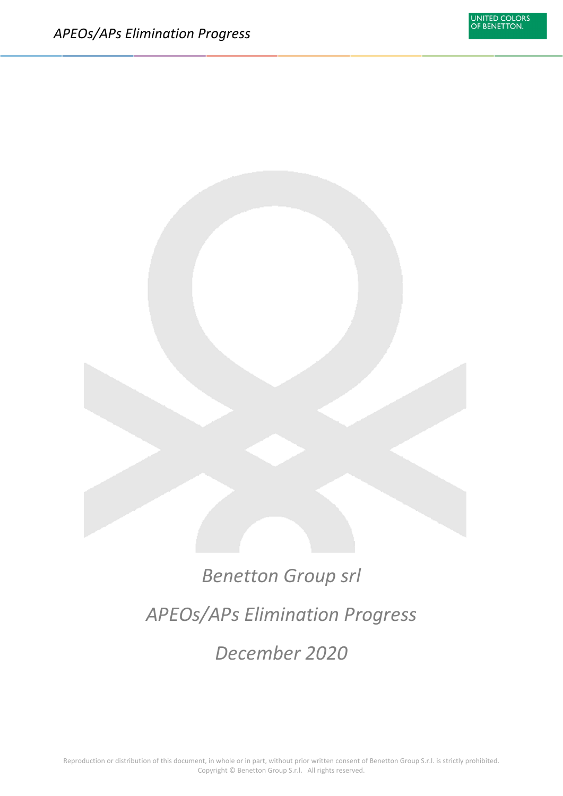# *Benetton Group srl APEOs/APs Elimination Progress December 2020*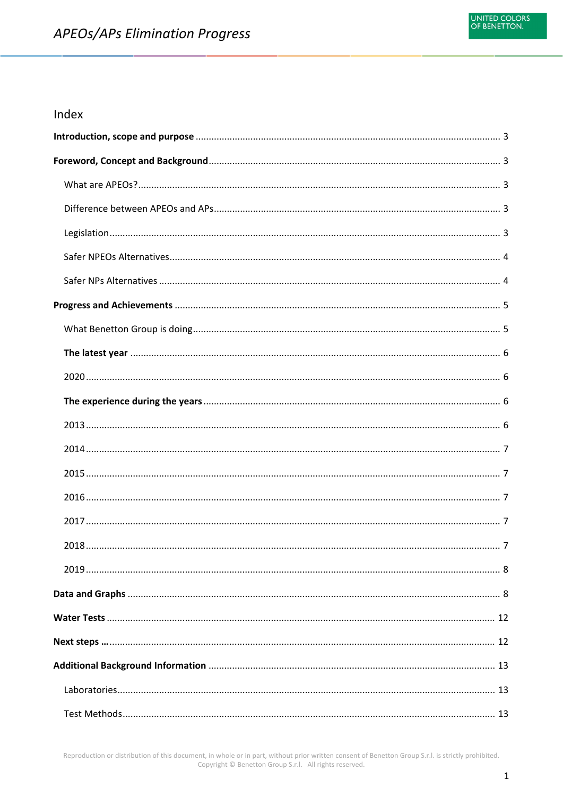#### Index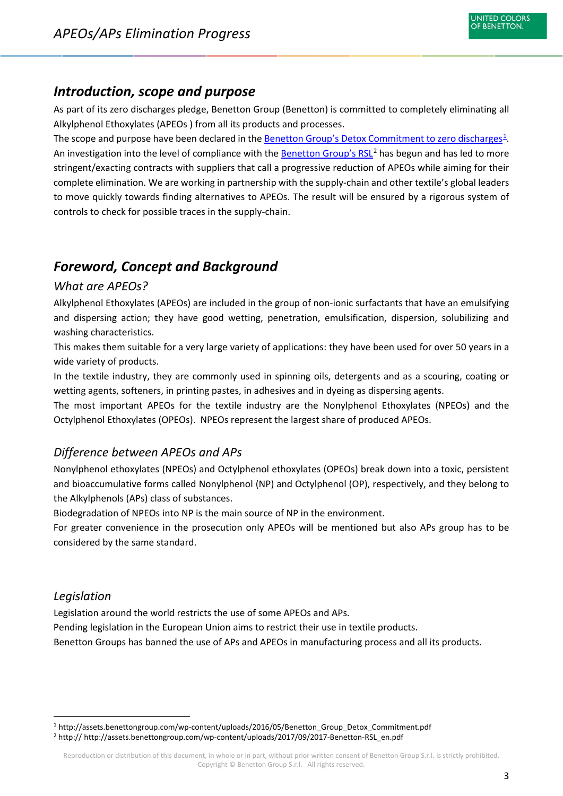## <span id="page-3-0"></span>*Introduction, scope and purpose*

As part of its zero discharges pledge, Benetton Group (Benetton) is committed to completely eliminating all Alkylphenol Ethoxylates (APEOs ) from all its products and processes.

The scope and purpose have been declared in the **Benetton Group's Detox Commitment to zero discharges**<sup>[1](#page-3-5)</sup>. An investigation into the level of compliance with the **Benetton Group's RSL<sup>[2](#page-3-6)</sup> has begun and has led to more** stringent/exacting contracts with suppliers that call a progressive reduction of APEOs while aiming for their complete elimination. We are working in partnership with the supply-chain and other textile's global leaders to move quickly towards finding alternatives to APEOs. The result will be ensured by a rigorous system of controls to check for possible traces in the supply-chain.

## <span id="page-3-1"></span>*Foreword, Concept and Background*

#### <span id="page-3-2"></span>*What are APEOs?*

Alkylphenol Ethoxylates (APEOs) are included in the group of non-ionic surfactants that have an emulsifying and dispersing action; they have good wetting, penetration, emulsification, dispersion, solubilizing and washing characteristics.

This makes them suitable for a very large variety of applications: they have been used for over 50 years in a wide variety of products.

In the textile industry, they are commonly used in spinning oils, detergents and as a scouring, coating or wetting agents, softeners, in printing pastes, in adhesives and in dyeing as dispersing agents.

The most important APEOs for the textile industry are the Nonylphenol Ethoxylates (NPEOs) and the Octylphenol Ethoxylates (OPEOs). NPEOs represent the largest share of produced APEOs.

#### <span id="page-3-3"></span>*Difference between APEOs and APs*

Nonylphenol ethoxylates (NPEOs) and Octylphenol ethoxylates (OPEOs) break down into a toxic, persistent and bioaccumulative forms called Nonylphenol (NP) and Octylphenol (OP), respectively, and they belong to the Alkylphenols (APs) class of substances.

Biodegradation of NPEOs into NP is the main source of NP in the environment.

For greater convenience in the prosecution only APEOs will be mentioned but also APs group has to be considered by the same standard.

#### <span id="page-3-4"></span>*Legislation*

Legislation around the world restricts the use of some APEOs and APs.

Pending legislation in the European Union aims to restrict their use in textile products.

Benetton Groups has banned the use of APs and APEOs in manufacturing process and all its products.

<span id="page-3-5"></span><sup>&</sup>lt;sup>1</sup> http://assets.benettongroup.com/wp-content/uploads/2016/05/Benetton Group Detox Commitment.pdf

<span id="page-3-6"></span><sup>&</sup>lt;sup>2</sup> http:// http://assets.benettongroup.com/wp-content/uploads/2017/09/2017-Benetton-RSL\_en.pdf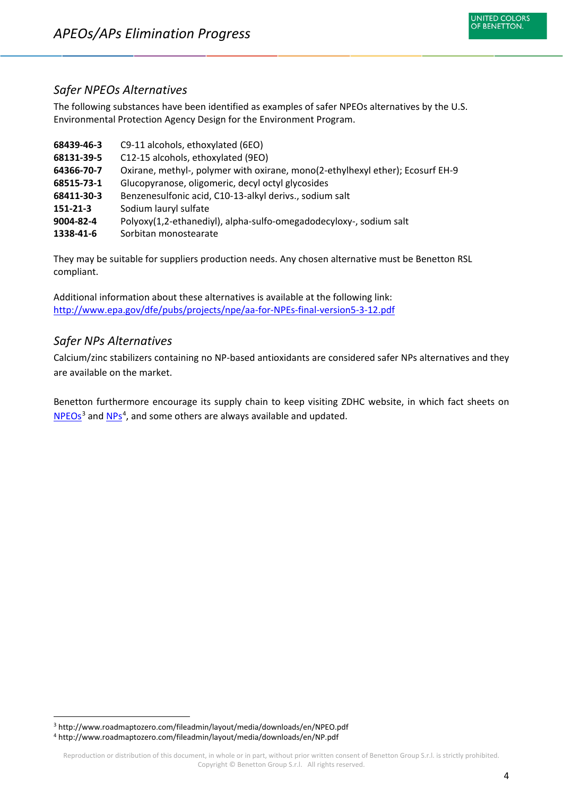#### <span id="page-4-0"></span>*Safer NPEOs Alternatives*

The following substances have been identified as examples of safer NPEOs alternatives by the U.S. Environmental Protection Agency Design for the Environment Program.

| 68439-46-3 | C9-11 alcohols, ethoxylated (6EO)                                              |
|------------|--------------------------------------------------------------------------------|
| 68131-39-5 | C12-15 alcohols, ethoxylated (9EO)                                             |
| 64366-70-7 | Oxirane, methyl-, polymer with oxirane, mono(2-ethylhexyl ether); Ecosurf EH-9 |
| 68515-73-1 | Glucopyranose, oligomeric, decyl octyl glycosides                              |
| 68411-30-3 | Benzenesulfonic acid, C10-13-alkyl derivs., sodium salt                        |
| 151-21-3   | Sodium lauryl sulfate                                                          |
| 9004-82-4  | Polyoxy(1,2-ethanediyl), alpha-sulfo-omegadodecyloxy-, sodium salt             |
| 1338-41-6  | Sorbitan monostearate                                                          |

They may be suitable for suppliers production needs. Any chosen alternative must be Benetton RSL compliant.

Additional information about these alternatives is available at the following link: <http://www.epa.gov/dfe/pubs/projects/npe/aa-for-NPEs-final-version5-3-12.pdf>

#### <span id="page-4-1"></span>*Safer NPs Alternatives*

Calcium/zinc stabilizers containing no NP-based antioxidants are considered safer NPs alternatives and they are available on the market.

Benetton furthermore encourage its supply chain to keep visiting ZDHC website, in which fact sheets on [NPEOs](http://www.roadmaptozero.com/fileadmin/layout/media/downloads/en/NPEO.pdf)<sup>[3](#page-4-2)</sup> and [NPs](http://www.roadmaptozero.com/fileadmin/layout/media/downloads/en/NP.pdf)<sup>[4](#page-4-3)</sup>, and some others are always available and updated.

<span id="page-4-2"></span> <sup>3</sup> http://www.roadmaptozero.com/fileadmin/layout/media/downloads/en/NPEO.pdf

<span id="page-4-3"></span><sup>4</sup> http://www.roadmaptozero.com/fileadmin/layout/media/downloads/en/NP.pdf

Reproduction or distribution of this document, in whole or in part, without prior written consent of Benetton Group S.r.l. is strictly prohibited. Copyright © Benetton Group S.r.l. All rights reserved.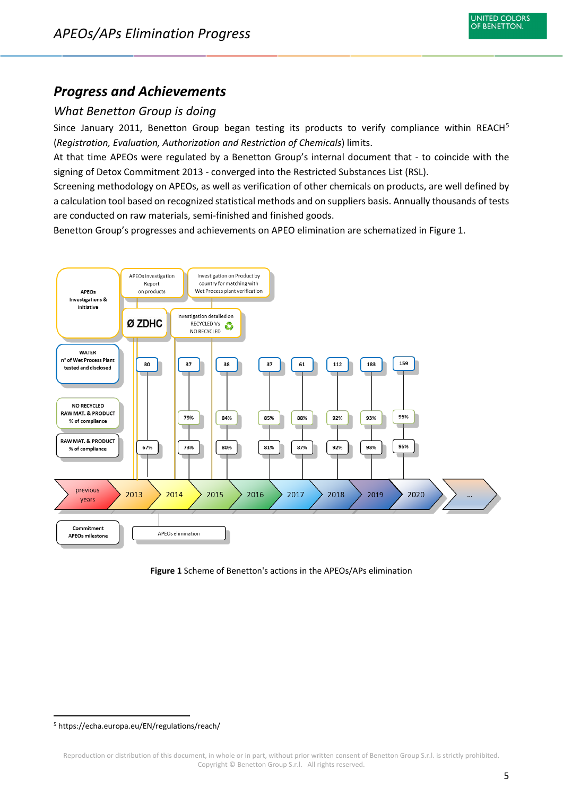

## <span id="page-5-0"></span>*Progress and Achievements*

#### <span id="page-5-1"></span>*What Benetton Group is doing*

Since January 2011, Benetton Group began testing its products to verify compliance within REACH<sup>[5](#page-5-2)</sup> (*Registration, Evaluation, Authorization and Restriction of Chemicals*) limits.

At that time APEOs were regulated by a Benetton Group's internal document that - to coincide with the signing of Detox Commitment 2013 - converged into the Restricted Substances List (RSL).

Screening methodology on APEOs, as well as verification of other chemicals on products, are well defined by a calculation tool based on recognized statistical methods and on suppliers basis. Annually thousands of tests are conducted on raw materials, semi-finished and finished goods.

Benetton Group's progresses and achievements on APEO elimination are schematized in Figure 1.





<span id="page-5-2"></span> <sup>5</sup> https://echa.europa.eu/EN/regulations/reach/

Reproduction or distribution of this document, in whole or in part, without prior written consent of Benetton Group S.r.l. is strictly prohibited. Copyright © Benetton Group S.r.l. All rights reserved.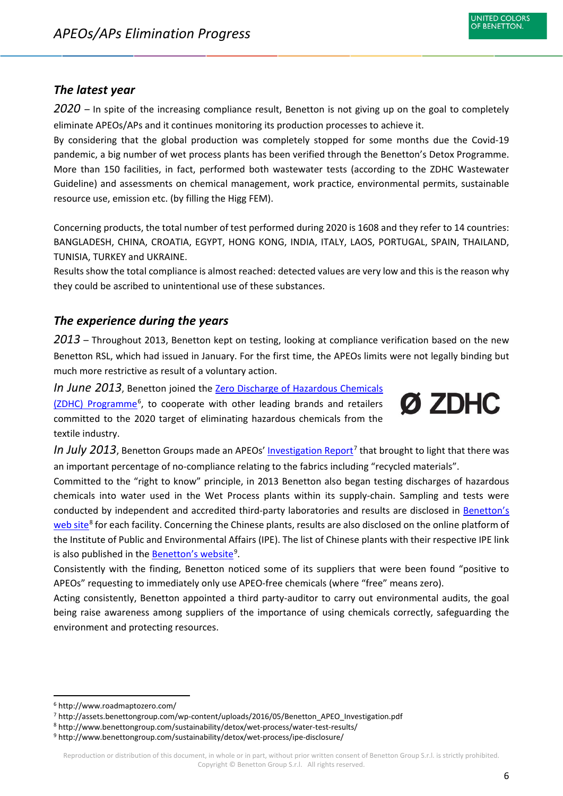#### <span id="page-6-0"></span>*The latest year*

<span id="page-6-1"></span>*2020* – In spite of the increasing compliance result, Benetton is not giving up on the goal to completely eliminate APEOs/APs and it continues monitoring its production processes to achieve it.

By considering that the global production was completely stopped for some months due the Covid-19 pandemic, a big number of wet process plants has been verified through the Benetton's Detox Programme. More than 150 facilities, in fact, performed both wastewater tests (according to the ZDHC Wastewater Guideline) and assessments on chemical management, work practice, environmental permits, sustainable resource use, emission etc. (by filling the Higg FEM).

Concerning products, the total number of test performed during 2020 is 1608 and they refer to 14 countries: BANGLADESH, CHINA, CROATIA, EGYPT, HONG KONG, INDIA, ITALY, LAOS, PORTUGAL, SPAIN, THAILAND, TUNISIA, TURKEY and UKRAINE.

Results show the total compliance is almost reached: detected values are very low and this is the reason why they could be ascribed to unintentional use of these substances.

#### <span id="page-6-2"></span>*The experience during the years*

<span id="page-6-3"></span>*2013* – Throughout 2013, Benetton kept on testing, looking at compliance verification based on the new Benetton RSL, which had issued in January. For the first time, the APEOs limits were not legally binding but much more restrictive as result of a voluntary action.

*In June 2013*, Benetton joined the [Zero Discharge of Hazardous Chemicals](http://www.roadmaptozero.com/)  [\(ZDHC\) Programme](http://www.roadmaptozero.com/)<sup>[6](#page-6-4)</sup>, to cooperate with other leading brands and retailers committed to the 2020 target of eliminating hazardous chemicals from the textile industry.



*In July 2013*, Benetton Groups made an APEOs' [Investigation Report](http://assets.benettongroup.com/wp-content/uploads/2016/05/Benetton_APEO_Investigation.pdf)<sup>[7](#page-6-5)</sup> that brought to light that there was an important percentage of no-compliance relating to the fabrics including "recycled materials".

Committed to the "right to know" principle, in 2013 Benetton also began testing discharges of hazardous chemicals into water used in the Wet Process plants within its supply-chain. Sampling and tests were conducted by independent and accredited third-party laboratories and results are disclosed in [Benetton's](http://www.benettongroup.com/sustainability/detox/wet-process/water-test-results/)  [web site](http://www.benettongroup.com/sustainability/detox/wet-process/water-test-results/)<sup>[8](#page-6-6)</sup> for each facility. Concerning the Chinese plants, results are also disclosed on the online platform of the Institute of Public and Environmental Affairs (IPE). The list of Chinese plants with their respective IPE link is also published in the **Benetton's website**<sup>[9](#page-6-7)</sup>.

Consistently with the finding, Benetton noticed some of its suppliers that were been found "positive to APEOs" requesting to immediately only use APEO-free chemicals (where "free" means zero).

Acting consistently, Benetton appointed a third party-auditor to carry out environmental audits, the goal being raise awareness among suppliers of the importance of using chemicals correctly, safeguarding the environment and protecting resources.

<span id="page-6-4"></span> <sup>6</sup> http://www.roadmaptozero.com/

<span id="page-6-5"></span><sup>7</sup> http://assets.benettongroup.com/wp-content/uploads/2016/05/Benetton\_APEO\_Investigation.pdf

<span id="page-6-6"></span><sup>8</sup> http://www.benettongroup.com/sustainability/detox/wet-process/water-test-results/

<span id="page-6-7"></span><sup>9</sup> http://www.benettongroup.com/sustainability/detox/wet-process/ipe-disclosure/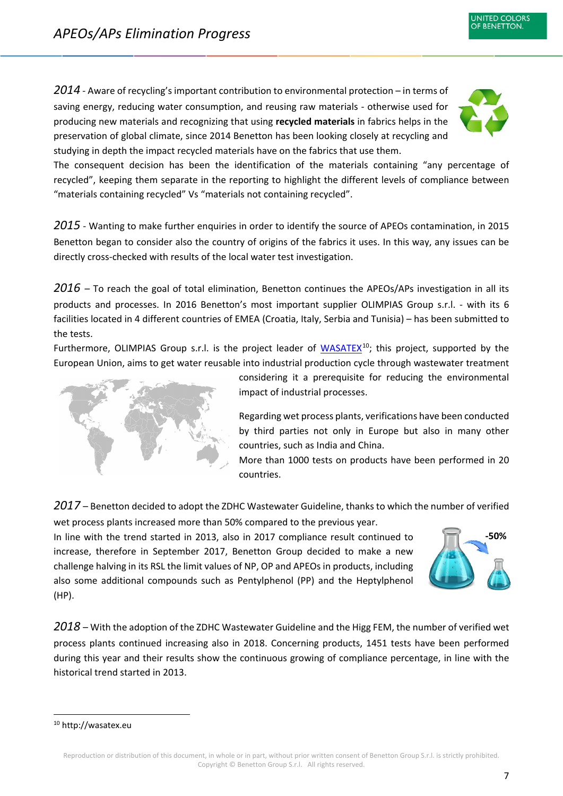<span id="page-7-0"></span>*2014* - Aware of recycling's important contribution to environmental protection – in terms of saving energy, reducing water consumption, and reusing raw materials - otherwise used for producing new materials and recognizing that using **recycled materials** in fabrics helps in the preservation of global climate, since 2014 Benetton has been looking closely at recycling and studying in depth the impact recycled materials have on the fabrics that use them.



**NITED COLORS** OF BENETTON.

The consequent decision has been the identification of the materials containing "any percentage of recycled", keeping them separate in the reporting to highlight the different levels of compliance between "materials containing recycled" Vs "materials not containing recycled".

<span id="page-7-1"></span>*2015* - Wanting to make further enquiries in order to identify the source of APEOs contamination, in 2015 Benetton began to consider also the country of origins of the fabrics it uses. In this way, any issues can be directly cross-checked with results of the local water test investigation.

<span id="page-7-2"></span>*2016* – To reach the goal of total elimination, Benetton continues the APEOs/APs investigation in all its products and processes. In 2016 Benetton's most important supplier OLIMPIAS Group s.r.l. - with its 6 facilities located in 4 different countries of EMEA (Croatia, Italy, Serbia and Tunisia) – has been submitted to the tests.

Furthermore, OLIMPIAS Group s.r.l. is the project leader of [WASATEX](http://wasatex.eu/)<sup>10</sup>; this project, supported by the European Union, aims to get water reusable into industrial production cycle through wastewater treatment



considering it a prerequisite for reducing the environmental impact of industrial processes.

Regarding wet process plants, verifications have been conducted by third parties not only in Europe but also in many other countries, such as India and China.

More than 1000 tests on products have been performed in 20 countries.

<span id="page-7-3"></span>*2017* – Benetton decided to adopt the ZDHC Wastewater Guideline, thanks to which the number of verified wet process plants increased more than 50% compared to the previous year.

In line with the trend started in 2013, also in 2017 compliance result continued to increase, therefore in September 2017, Benetton Group decided to make a new challenge halving in its RSL the limit values of NP, OP and APEOs in products, including also some additional compounds such as Pentylphenol (PP) and the Heptylphenol (HP).



<span id="page-7-4"></span>*2018* – With the adoption of the ZDHC Wastewater Guideline and the Higg FEM, the number of verified wet process plants continued increasing also in 2018. Concerning products, 1451 tests have been performed during this year and their results show the continuous growing of compliance percentage, in line with the historical trend started in 2013.

<span id="page-7-5"></span> <sup>10</sup> http://wasatex.eu

Reproduction or distribution of this document, in whole or in part, without prior written consent of Benetton Group S.r.l. is strictly prohibited. Copyright © Benetton Group S.r.l. All rights reserved.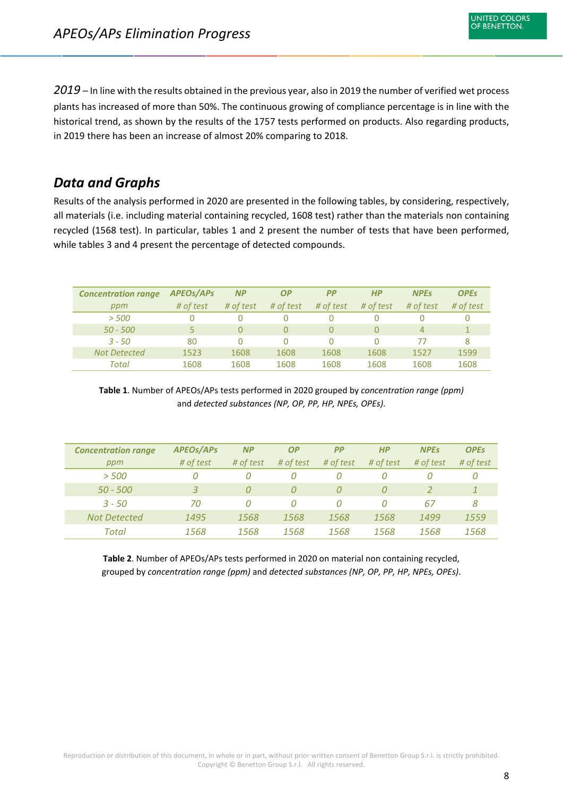<span id="page-8-0"></span>*2019* – In line with the results obtained in the previous year, also in 2019 the number of verified wet process plants has increased of more than 50%. The continuous growing of compliance percentage is in line with the historical trend, as shown by the results of the 1757 tests performed on products. Also regarding products, in 2019 there has been an increase of almost 20% comparing to 2018.

# <span id="page-8-1"></span>*Data and Graphs*

Results of the analysis performed in 2020 are presented in the following tables, by considering, respectively, all materials (i.e. including material containing recycled, 1608 test) rather than the materials non containing recycled (1568 test). In particular, tables 1 and 2 present the number of tests that have been performed, while tables 3 and 4 present the percentage of detected compounds.

| <b>Concentration range</b> | <b>APEOS/APS</b> | <b>NP</b> | ΟP        | <b>PP</b> | HP        | <b>NPEs</b>    | <b>OPEs</b> |
|----------------------------|------------------|-----------|-----------|-----------|-----------|----------------|-------------|
| ppm                        | # of test        | # of test | # of test | # of test | # of test | # of test      | # of test   |
| > 500                      |                  | 0         |           | 0         |           |                |             |
| $50 - 500$                 |                  | 0         | 0         | 0         | 0         | $\overline{4}$ |             |
| $3 - 50$                   | 80               | 0         | 0         | Ω         | 0         | 77             | 8           |
| <b>Not Detected</b>        | 1523             | 1608      | 1608      | 1608      | 1608      | 1527           | 1599        |
| Total                      | 1608             | 1608      | 1608      | 1608      | 1608      | 1608           | 1608        |

**Table 1**. Number of APEOs/APs tests performed in 2020 grouped by *concentration range (ppm)* and *detected substances (NP, OP, PP, HP, NPEs, OPEs)*.

| <b>Concentration range</b> | <b>APEOS/APS</b> | <b>NP</b> | <b>OP</b> | <b>PP</b> | HP        | <b>NPEs</b> | <b>OPEs</b> |
|----------------------------|------------------|-----------|-----------|-----------|-----------|-------------|-------------|
| ppm                        | # of test        | # of test | # of test | # of test | # of test | # of test   | # of test   |
| > 500                      | 0                | 0         | Ω         | 0         |           |             | 0           |
| $50 - 500$                 | 3                | 0         | Ω         | $\Omega$  |           |             |             |
| $3 - 50$                   | 70               | 0         | 0         | 0         | Ω         | 67          | 8           |
| <b>Not Detected</b>        | 1495             | 1568      | 1568      | 1568      | 1568      | 1499        | 1559        |
| Total                      | 1568             | 1568      | 1568      | 1568      | 1568      | 1568        | 1568        |

**Table 2**. Number of APEOs/APs tests performed in 2020 on material non containing recycled, grouped by *concentration range (ppm)* and *detected substances (NP, OP, PP, HP, NPEs, OPEs)*.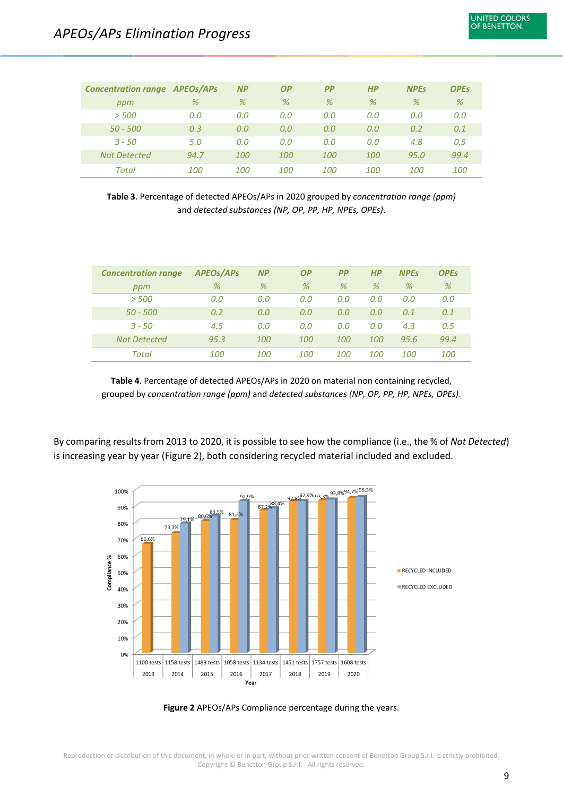| <b>Concentration range APEOs/APs</b> |            | <b>NP</b> | <b>OP</b> | PР  | HP         | <b>NPEs</b> | <b>OPEs</b> |
|--------------------------------------|------------|-----------|-----------|-----|------------|-------------|-------------|
| ppm                                  | %          | %         | %         | %   | %          | %           | %           |
| > 500                                | 0.0        | 0.0       | 0.0       | 0.0 | 0.0        | 0.0         | 0.0         |
| 50 - 500                             | 0.3        | 0.0       | 0.0       | 0.0 | 0.0        | 0.2         | 0.1         |
| $3 - 50$                             | 5.0        | 0.0       | 0.0       | 0.0 | 0.0        | 4.8         | 0.5         |
| <b>Not Detected</b>                  | 94.7       | 100       | 100       | 100 | 100        | 95.0        | 99.4        |
| Total                                | <i>100</i> | 100       | 100       | 100 | <i>100</i> | <i>100</i>  | <i>100</i>  |

**Table 3**. Percentage of detected APEOs/APs in 2020 grouped by *concentration range (ppm)* and *detected substances (NP, OP, PP, HP, NPEs, OPEs)*.

| <b>Concentration range</b> | <b>APEOS/APS</b> | <b>NP</b>  | <b>OP</b>  | <b>PP</b>  | HP         | <b>NPEs</b> | <b>OPEs</b> |
|----------------------------|------------------|------------|------------|------------|------------|-------------|-------------|
| ppm                        | %                | %          | %          | %          | %          | %           | %           |
| > 500                      | 0.0              | 0.0        | 0.0        | 0.0        | 0.0        | 0.0         | 0.0         |
| $50 - 500$                 | 0.2              | 0.0        | 0.0        | 0.0        | 0.0        | 0.1         | 0.1         |
| $3 - 50$                   | 4.5              | 0.0        | 0.0        | 0.0        | 0.0        | 4.3         | 0.5         |
| <b>Not Detected</b>        | 95.3             | 100        | 100        | 100        | 100        | 95.6        | 99.4        |
| Total                      | <i>100</i>       | <i>100</i> | <i>100</i> | <i>100</i> | <i>100</i> | <i>100</i>  | <i>100</i>  |

**Table 4**. Percentage of detected APEOs/APs in 2020 on material non containing recycled, grouped by *concentration range (ppm)* and *detected substances (NP, OP, PP, HP, NPEs, OPEs)*.

By comparing results from 2013 to 2020, it is possible to see how the compliance (i.e., the % of *Not Detected*) is increasing year by year (Figure 2), both considering recycled material included and excluded.



**Figure 2** APEOs/APs Compliance percentage during the years.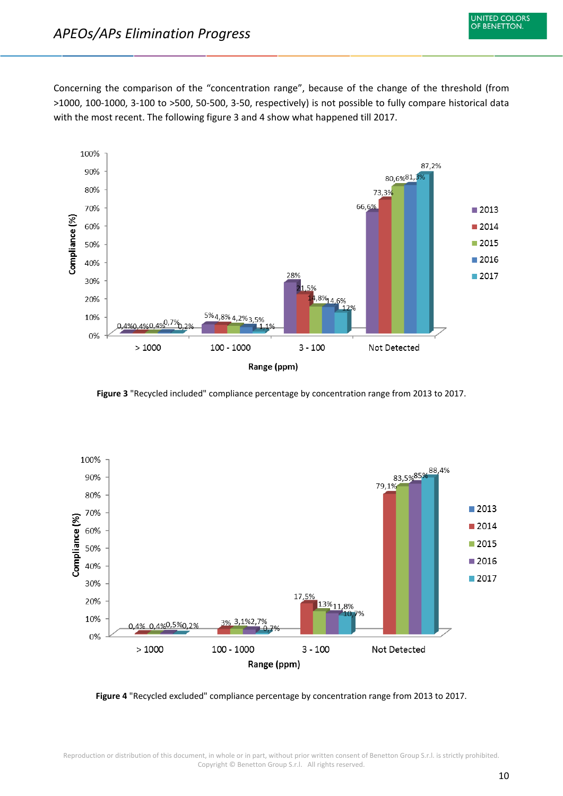Concerning the comparison of the "concentration range", because of the change of the threshold (from >1000, 100-1000, 3-100 to >500, 50-500, 3-50, respectively) is not possible to fully compare historical data with the most recent. The following figure 3 and 4 show what happened till 2017.



**Figure 3** "Recycled included" compliance percentage by concentration range from 2013 to 2017.



**Figure 4** "Recycled excluded" compliance percentage by concentration range from 2013 to 2017.

Reproduction or distribution of this document, in whole or in part, without prior written consent of Benetton Group S.r.l. is strictly prohibited. Copyright © Benetton Group S.r.l. All rights reserved.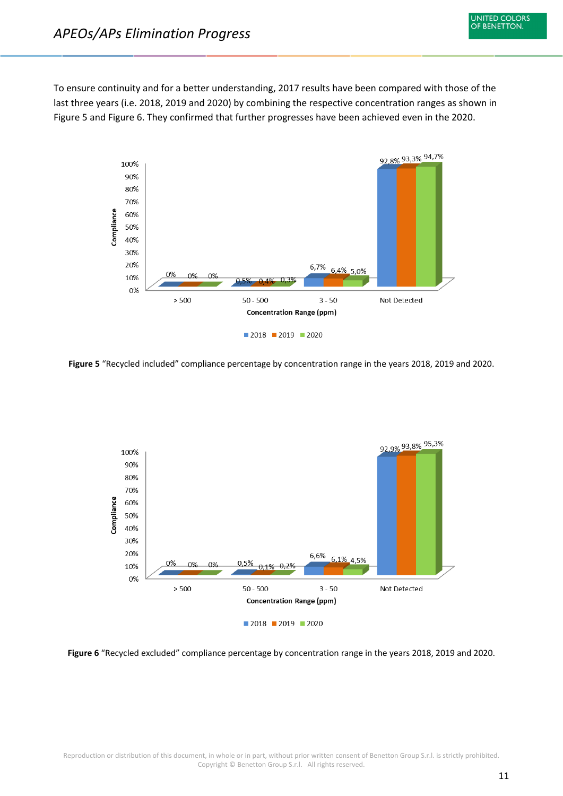To ensure continuity and for a better understanding, 2017 results have been compared with those of the last three years (i.e. 2018, 2019 and 2020) by combining the respective concentration ranges as shown in Figure 5 and Figure 6. They confirmed that further progresses have been achieved even in the 2020.



**Figure 5** "Recycled included" compliance percentage by concentration range in the years 2018, 2019 and 2020.



**Figure 6** "Recycled excluded" compliance percentage by concentration range in the years 2018, 2019 and 2020.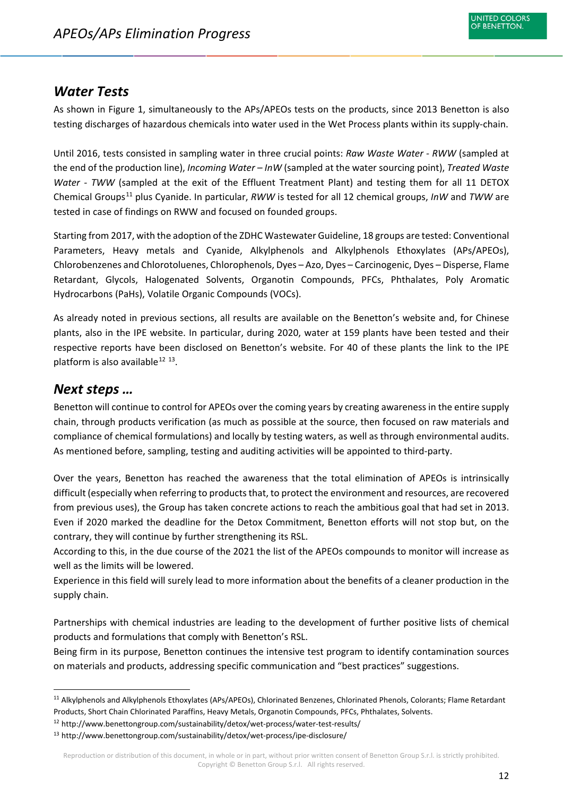## <span id="page-12-0"></span>*Water Tests*

As shown in Figure 1, simultaneously to the APs/APEOs tests on the products, since 2013 Benetton is also testing discharges of hazardous chemicals into water used in the Wet Process plants within its supply-chain.

Until 2016, tests consisted in sampling water in three crucial points: *Raw Waste Water - RWW* (sampled at the end of the production line), *Incoming Water – InW* (sampled at the water sourcing point), *Treated Waste Water - TWW* (sampled at the exit of the Effluent Treatment Plant) and testing them for all 11 DETOX Chemical Groups[11](#page-12-2) plus Cyanide. In particular, *RWW* is tested for all 12 chemical groups, *InW* and *TWW* are tested in case of findings on RWW and focused on founded groups.

Starting from 2017, with the adoption of the ZDHC Wastewater Guideline, 18 groups are tested: Conventional Parameters, Heavy metals and Cyanide, Alkylphenols and Alkylphenols Ethoxylates (APs/APEOs), Chlorobenzenes and Chlorotoluenes, Chlorophenols, Dyes – Azo, Dyes – Carcinogenic, Dyes – Disperse, Flame Retardant, Glycols, Halogenated Solvents, Organotin Compounds, PFCs, Phthalates, Poly Aromatic Hydrocarbons (PaHs), Volatile Organic Compounds (VOCs).

As already noted in previous sections, all results are available on the Benetton's website and, for Chinese plants, also in the IPE website. In particular, during 2020, water at 159 plants have been tested and their respective reports have been disclosed on Benetton's website. For 40 of these plants the link to the IPE platform is also available  $12^{13}$  $12^{13}$  $12^{13}$  $12^{13}$ .

## <span id="page-12-1"></span>*Next steps …*

Benetton will continue to control for APEOs over the coming years by creating awareness in the entire supply chain, through products verification (as much as possible at the source, then focused on raw materials and compliance of chemical formulations) and locally by testing waters, as well as through environmental audits. As mentioned before, sampling, testing and auditing activities will be appointed to third-party.

Over the years, Benetton has reached the awareness that the total elimination of APEOs is intrinsically difficult (especially when referring to products that, to protect the environment and resources, are recovered from previous uses), the Group has taken concrete actions to reach the ambitious goal that had set in 2013. Even if 2020 marked the deadline for the Detox Commitment, Benetton efforts will not stop but, on the contrary, they will continue by further strengthening its RSL.

According to this, in the due course of the 2021 the list of the APEOs compounds to monitor will increase as well as the limits will be lowered.

Experience in this field will surely lead to more information about the benefits of a cleaner production in the supply chain.

Partnerships with chemical industries are leading to the development of further positive lists of chemical products and formulations that comply with Benetton's RSL.

Being firm in its purpose, Benetton continues the intensive test program to identify contamination sources on materials and products, addressing specific communication and "best practices" suggestions.

<span id="page-12-3"></span><sup>12</sup> http://www.benettongroup.com/sustainability/detox/wet-process/water-test-results/

<span id="page-12-2"></span> <sup>11</sup> Alkylphenols and Alkylphenols Ethoxylates (APs/APEOs), Chlorinated Benzenes, Chlorinated Phenols, Colorants; Flame Retardant Products, Short Chain Chlorinated Paraffins, Heavy Metals, Organotin Compounds, PFCs, Phthalates, Solvents.

<span id="page-12-4"></span><sup>13</sup> http://www.benettongroup.com/sustainability/detox/wet-process/ipe-disclosure/

Reproduction or distribution of this document, in whole or in part, without prior written consent of Benetton Group S.r.l. is strictly prohibited. Copyright © Benetton Group S.r.l. All rights reserved.